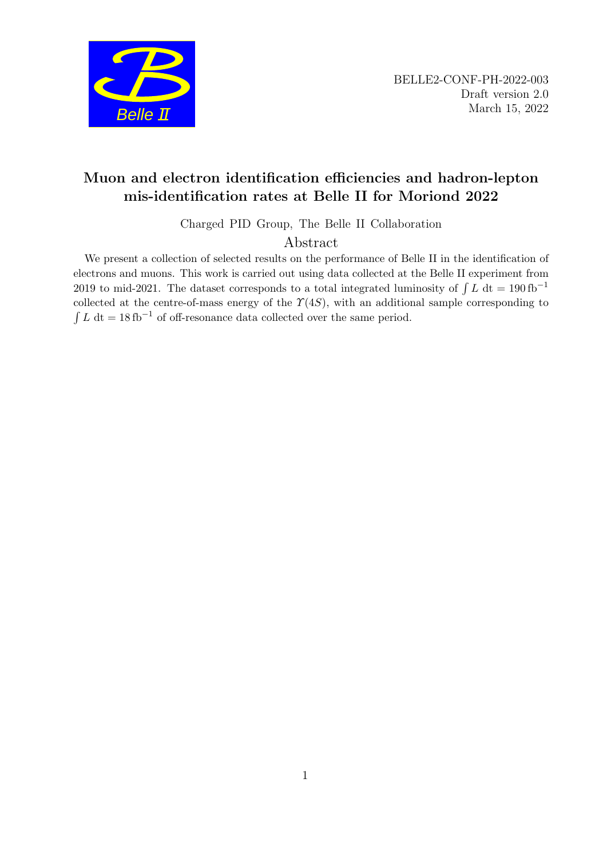

# Muon and electron identification efficiencies and hadron-lepton mis-identification rates at Belle II for Moriond 2022

Charged PID Group, The Belle II Collaboration

# Abstract

We present a collection of selected results on the performance of Belle II in the identification of electrons and muons. This work is carried out using data collected at the Belle II experiment from 2019 to mid-2021. The dataset corresponds to a total integrated luminosity of  $\int L dt = 190$  fb<sup>-1</sup> collected at the centre-of-mass energy of the  $\Upsilon(4S)$ , with an additional sample corresponding to  $\int L \, dt = 18 \text{ fb}^{-1}$  of off-resonance data collected over the same period.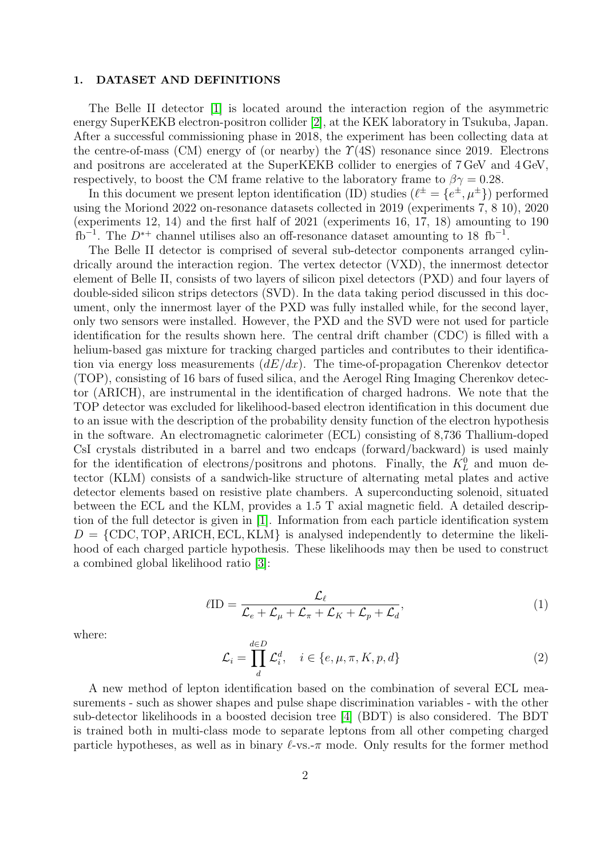## 1. DATASET AND DEFINITIONS

The Belle II detector [\[1\]](#page-7-0) is located around the interaction region of the asymmetric energy SuperKEKB electron-positron collider [\[2\]](#page-7-1), at the KEK laboratory in Tsukuba, Japan. After a successful commissioning phase in 2018, the experiment has been collecting data at the centre-of-mass (CM) energy of (or nearby) the  $\Upsilon(4S)$  resonance since 2019. Electrons and positrons are accelerated at the SuperKEKB collider to energies of 7 GeV and 4 GeV, respectively, to boost the CM frame relative to the laboratory frame to  $\beta\gamma = 0.28$ .

In this document we present lepton identification (ID) studies  $(\ell^{\pm} = \{e^{\pm}, \mu^{\pm}\})$  performed using the Moriond 2022 on-resonance datasets collected in 2019 (experiments 7, 8 10), 2020 (experiments 12, 14) and the first half of 2021 (experiments 16, 17, 18) amounting to 190  $fb^{-1}$ . The  $D^{*+}$  channel utilises also an off-resonance dataset amounting to 18 fb<sup>-1</sup>.

The Belle II detector is comprised of several sub-detector components arranged cylindrically around the interaction region. The vertex detector (VXD), the innermost detector element of Belle II, consists of two layers of silicon pixel detectors (PXD) and four layers of double-sided silicon strips detectors (SVD). In the data taking period discussed in this document, only the innermost layer of the PXD was fully installed while, for the second layer, only two sensors were installed. However, the PXD and the SVD were not used for particle identification for the results shown here. The central drift chamber (CDC) is filled with a helium-based gas mixture for tracking charged particles and contributes to their identification via energy loss measurements  $(dE/dx)$ . The time-of-propagation Cherenkov detector (TOP), consisting of 16 bars of fused silica, and the Aerogel Ring Imaging Cherenkov detector (ARICH), are instrumental in the identification of charged hadrons. We note that the TOP detector was excluded for likelihood-based electron identification in this document due to an issue with the description of the probability density function of the electron hypothesis in the software. An electromagnetic calorimeter (ECL) consisting of 8,736 Thallium-doped CsI crystals distributed in a barrel and two endcaps (forward/backward) is used mainly for the identification of electrons/positrons and photons. Finally, the  $K<sub>L</sub><sup>0</sup>$  and muon detector (KLM) consists of a sandwich-like structure of alternating metal plates and active detector elements based on resistive plate chambers. A superconducting solenoid, situated between the ECL and the KLM, provides a 1.5 T axial magnetic field. A detailed description of the full detector is given in [\[1\]](#page-7-0). Information from each particle identification system  $D = \{CDC, TOP, ARICH, ECL, KLM\}$  is analysed independently to determine the likelihood of each charged particle hypothesis. These likelihoods may then be used to construct a combined global likelihood ratio [\[3\]](#page-7-2):

$$
\ell \text{ID} = \frac{\mathcal{L}_{\ell}}{\mathcal{L}_{e} + \mathcal{L}_{\mu} + \mathcal{L}_{\pi} + \mathcal{L}_{K} + \mathcal{L}_{p} + \mathcal{L}_{d}},\tag{1}
$$

where:

$$
\mathcal{L}_i = \prod_d^{d \in D} \mathcal{L}_i^d, \quad i \in \{e, \mu, \pi, K, p, d\}
$$
\n
$$
(2)
$$

A new method of lepton identification based on the combination of several ECL measurements - such as shower shapes and pulse shape discrimination variables - with the other sub-detector likelihoods in a boosted decision tree [\[4\]](#page-7-3) (BDT) is also considered. The BDT is trained both in multi-class mode to separate leptons from all other competing charged particle hypotheses, as well as in binary  $\ell$ -vs.- $\pi$  mode. Only results for the former method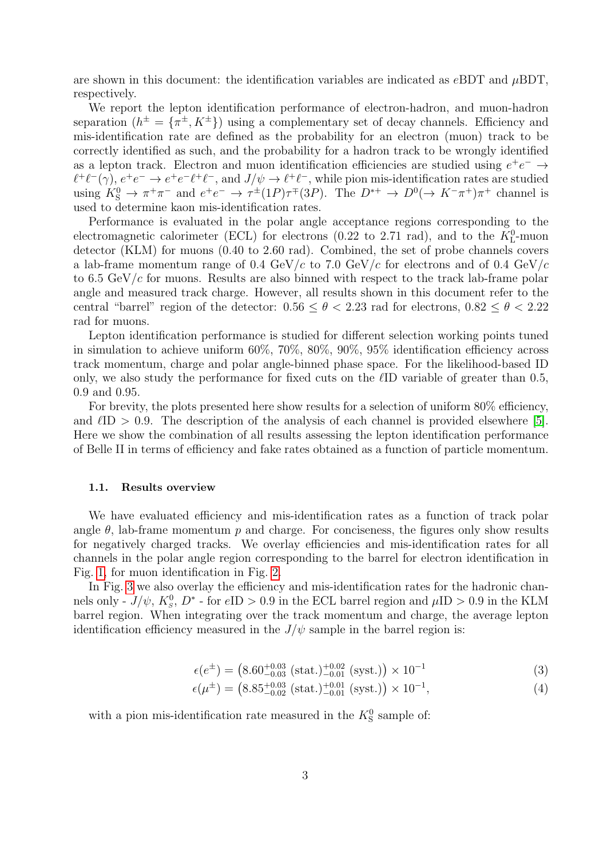are shown in this document: the identification variables are indicated as  $eBDT$  and  $\mu BDT$ . respectively.

We report the lepton identification performance of electron-hadron, and muon-hadron separation  $(h^{\pm} = {\pi^{\pm}, K^{\pm}})$  using a complementary set of decay channels. Efficiency and mis-identification rate are defined as the probability for an electron (muon) track to be correctly identified as such, and the probability for a hadron track to be wrongly identified as a lepton track. Electron and muon identification efficiencies are studied using  $e^+e^- \rightarrow$  $\ell^+\ell^-(\gamma)$ ,  $e^+e^- \to e^+e^-\ell^+\ell^-$ , and  $J/\psi \to \ell^+\ell^-$ , while pion mis-identification rates are studied using  $K^0_S \to \pi^+\pi^-$  and  $e^+e^- \to \tau^{\pm}(1P)\tau^{\mp}(3P)$ . The  $D^{*+} \to D^0(\to K^-\pi^+)\pi^+$  channel is used to determine kaon mis-identification rates.

Performance is evaluated in the polar angle acceptance regions corresponding to the electromagnetic calorimeter (ECL) for electrons (0.22 to 2.71 rad), and to the  $K_{\text{L}}^{0}$ -muon detector (KLM) for muons (0.40 to 2.60 rad). Combined, the set of probe channels covers a lab-frame momentum range of 0.4 GeV/c to 7.0 GeV/c for electrons and of 0.4 GeV/c to 6.5 GeV/ $c$  for muons. Results are also binned with respect to the track lab-frame polar angle and measured track charge. However, all results shown in this document refer to the central "barrel" region of the detector:  $0.56 \le \theta \le 2.23$  rad for electrons,  $0.82 \le \theta \le 2.22$ rad for muons.

Lepton identification performance is studied for different selection working points tuned in simulation to achieve uniform 60%, 70%, 80%, 90%, 95% identification efficiency across track momentum, charge and polar angle-binned phase space. For the likelihood-based ID only, we also study the performance for fixed cuts on the  $\ell$ ID variable of greater than 0.5, 0.9 and 0.95.

For brevity, the plots presented here show results for a selection of uniform  $80\%$  efficiency, and  $\ell$ ID > 0.9. The description of the analysis of each channel is provided elsewhere [\[5\]](#page-7-4). Here we show the combination of all results assessing the lepton identification performance of Belle II in terms of efficiency and fake rates obtained as a function of particle momentum.

### 1.1. Results overview

We have evaluated efficiency and mis-identification rates as a function of track polar angle  $\theta$ , lab-frame momentum p and charge. For conciseness, the figures only show results for negatively charged tracks. We overlay efficiencies and mis-identification rates for all channels in the polar angle region corresponding to the barrel for electron identification in Fig. [1,](#page-3-0) for muon identification in Fig. [2.](#page-4-0)

In Fig. [3](#page-5-0) we also overlay the efficiency and mis-identification rates for the hadronic channels only -  $J/\psi$ ,  $K_s^0$ ,  $D^*$  - for  $eID > 0.9$  in the ECL barrel region and  $\mu ID > 0.9$  in the KLM barrel region. When integrating over the track momentum and charge, the average lepton identification efficiency measured in the  $J/\psi$  sample in the barrel region is:

$$
\epsilon(e^{\pm}) = \left(8.60^{+0.03}_{-0.03} \text{ (stat.)}^{+0.02}_{-0.01} \text{ (syst.)}\right) \times 10^{-1} \tag{3}
$$

$$
\epsilon(\mu^{\pm}) = \left(8.85^{+0.03}_{-0.02} \left(\text{stat.}\right)^{+0.01}_{-0.01} \left(\text{syst.}\right)\right) \times 10^{-1},\tag{4}
$$

with a pion mis-identification rate measured in the  $K^0$  sample of: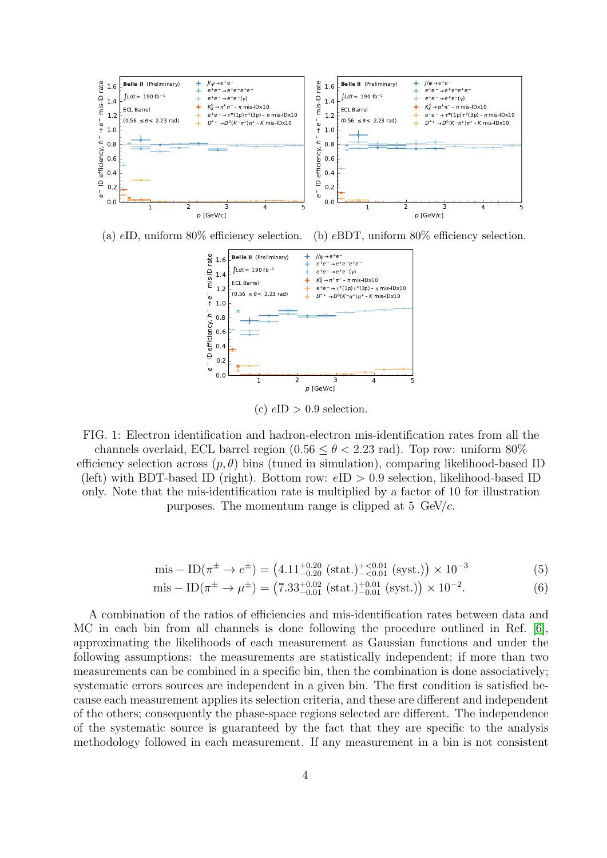<span id="page-3-0"></span>

(a) eID, uniform 80% efficiency selection. (b) eBDT, uniform 80% efficiency selection.



(c)  $eID > 0.9$  selection.

FIG. 1: Electron identification and hadron-electron mis-identification rates from all the channels overlaid, ECL barrel region  $(0.56 \le \theta < 2.23 \text{ rad})$ . Top row: uniform 80% efficiency selection across  $(p, \theta)$  bins (tuned in simulation), comparing likelihood-based ID (left) with BDT-based ID (right). Bottom row:  $eID > 0.9$  selection, likelihood-based ID only. Note that the mis-identification rate is multiplied by a factor of 10 for illustration purposes. The momentum range is clipped at  $5 \text{ GeV}/c$ .

mis 
$$
-
$$
 ID( $\pi^{\pm} \to e^{\pm}$ ) = (4.11<sup>+0.20</sup> (stat.)<sup>+<0.01</sup> (syst.))  $\times$  10<sup>-3</sup> (5)

mis 
$$
-
$$
 ID( $\pi^{\pm}$   $\rightarrow \mu^{\pm}$ ) = (7.33<sup>+0.02</sup><sub>-0.01</sub> (stat.)<sup>+0.01</sup><sub>-0.01</sub> (syst.))  $\times$  10<sup>-2</sup>. (6)

A combination of the ratios of efficiencies and mis-identification rates between data and MC in each bin from all channels is done following the procedure outlined in Ref. [\[6\]](#page-7-5), approximating the likelihoods of each measurement as Gaussian functions and under the following assumptions: the measurements are statistically independent; if more than two measurements can be combined in a specific bin, then the combination is done associatively; systematic errors sources are independent in a given bin. The first condition is satisfied because each measurement applies its selection criteria, and these are different and independent of the others; consequently the phase-space regions selected are different. The independence of the systematic source is guaranteed by the fact that they are specific to the analysis methodology followed in each measurement. If any measurement in a bin is not consistent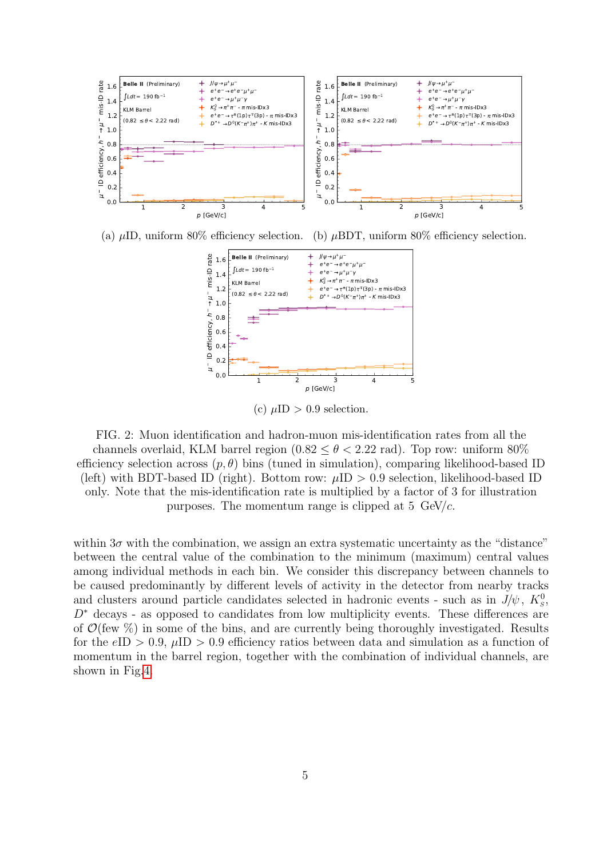<span id="page-4-0"></span>



(c)  $\mu$ ID > 0.9 selection.

FIG. 2: Muon identification and hadron-muon mis-identification rates from all the channels overlaid, KLM barrel region  $(0.82 \le \theta < 2.22$  rad). Top row: uniform 80% efficiency selection across  $(p, \theta)$  bins (tuned in simulation), comparing likelihood-based ID (left) with BDT-based ID (right). Bottom row:  $\mu$ ID > 0.9 selection, likelihood-based ID only. Note that the mis-identification rate is multiplied by a factor of 3 for illustration purposes. The momentum range is clipped at  $5 \text{ GeV}/c$ .

within  $3\sigma$  with the combination, we assign an extra systematic uncertainty as the "distance" between the central value of the combination to the minimum (maximum) central values among individual methods in each bin. We consider this discrepancy between channels to be caused predominantly by different levels of activity in the detector from nearby tracks and clusters around particle candidates selected in hadronic events - such as in  $J/\psi$ ,  $K^0_s$ ,  $D^*$  decays - as opposed to candidates from low multiplicity events. These differences are of  $\mathcal{O}(\text{few } \%)$  in some of the bins, and are currently being thoroughly investigated. Results for the eID  $> 0.9$ ,  $\mu$ ID  $> 0.9$  efficiency ratios between data and simulation as a function of momentum in the barrel region, together with the combination of individual channels, are shown in Fig[.4.](#page-5-1)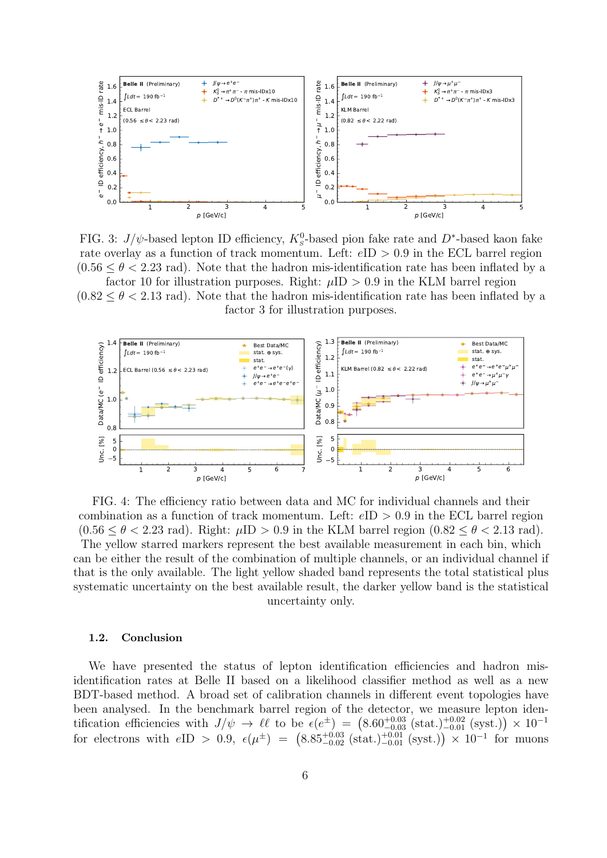<span id="page-5-0"></span>

FIG. 3:  $J/\psi$ -based lepton ID efficiency,  $K_s^0$ -based pion fake rate and D<sup>\*</sup>-based kaon fake rate overlay as a function of track momentum. Left:  $eID > 0.9$  in the ECL barrel region  $(0.56 \leq \theta \leq 2.23$  rad). Note that the hadron mis-identification rate has been inflated by a factor 10 for illustration purposes. Right:  $\mu$ ID > 0.9 in the KLM barrel region

 $(0.82 \le \theta \le 2.13$  rad). Note that the hadron mis-identification rate has been inflated by a factor 3 for illustration purposes.

<span id="page-5-1"></span>

FIG. 4: The efficiency ratio between data and MC for individual channels and their combination as a function of track momentum. Left:  $eID > 0.9$  in the ECL barrel region  $(0.56 \leq \theta \leq 2.23$  rad). Right:  $\mu$ ID  $> 0.9$  in the KLM barrel region  $(0.82 \leq \theta \leq 2.13$  rad). The yellow starred markers represent the best available measurement in each bin, which can be either the result of the combination of multiple channels, or an individual channel if that is the only available. The light yellow shaded band represents the total statistical plus systematic uncertainty on the best available result, the darker yellow band is the statistical uncertainty only.

### 1.2. Conclusion

We have presented the status of lepton identification efficiencies and hadron misidentification rates at Belle II based on a likelihood classifier method as well as a new BDT-based method. A broad set of calibration channels in different event topologies have been analysed. In the benchmark barrel region of the detector, we measure lepton identification efficiencies with  $J/\psi \to \ell \ell$  to be  $\epsilon(e^{\pm}) = (8.60^{+0.03}_{-0.03} \text{ (stat.)}^{+0.02}_{-0.01} \text{ (syst.)}) \times 10^{-1}$ for electrons with  $eID > 0.9$ ,  $e(\mu^{\pm}) = (8.85^{+0.03}_{-0.02} \text{ (stat.)}^{+0.01}_{-0.01} \text{ (syst.)}) \times 10^{-1}$  for muons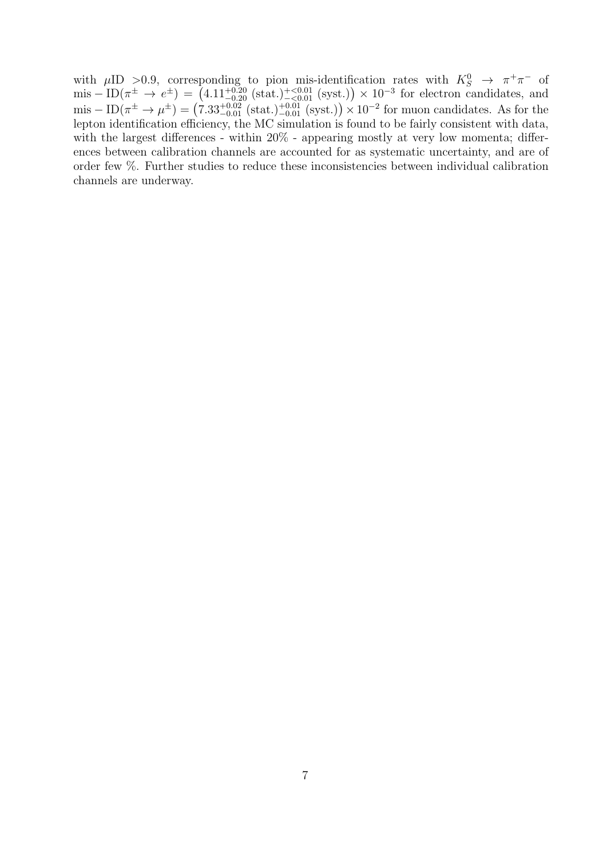with  $\mu$ ID >0.9, corresponding to pion mis-identification rates with  $K_S^0 \to \pi^+\pi^-$  of  $\text{mis} - \text{ID}(\pi^{\pm} \to e^{\pm}) = (4.11^{+0.20}_{-0.20} \text{ (stat.)}^{+<0.01}_{-<0.01} \text{ (syst.)}) \times 10^{-3}$  for electron candidates, and  $\text{mis} - \text{ID}(\pi^{\pm} \to \mu^{\pm}) = (7.33^{+0.02}_{-0.01} \text{ (stat.)}^{+0.01}_{-0.01} \text{ (syst.)}) \times 10^{-2} \text{ for muon candidates. As for the}$ lepton identification efficiency, the MC simulation is found to be fairly consistent with data, with the largest differences - within  $20\%$  - appearing mostly at very low momenta; differences between calibration channels are accounted for as systematic uncertainty, and are of order few %. Further studies to reduce these inconsistencies between individual calibration channels are underway.